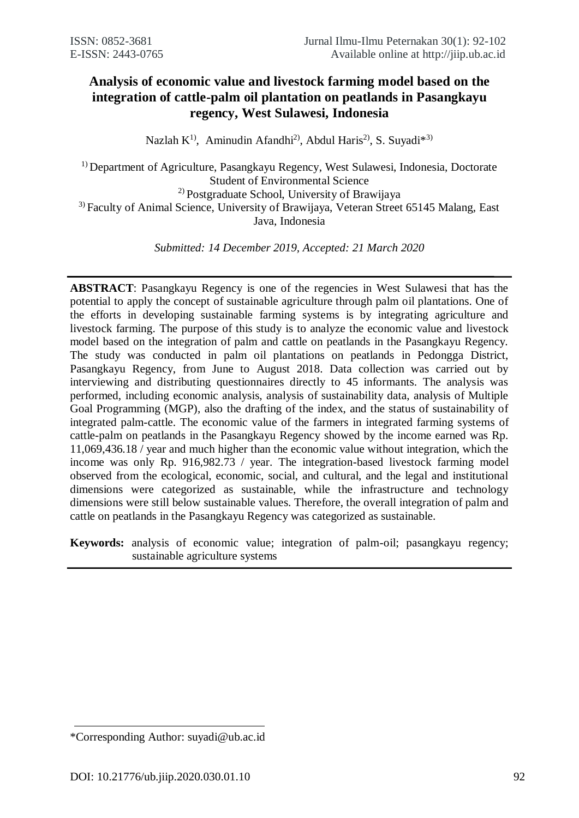# **Analysis of economic value and livestock farming model based on the integration of cattle-palm oil plantation on peatlands in Pasangkayu regency, West Sulawesi, Indonesia**

Nazlah  $K^{1}$ , Aminudin Afandhi<sup>2</sup>, Abdul Haris<sup>2</sup>, S. Suyadi<sup>\*3)</sup>

1) Department of Agriculture, Pasangkayu Regency, West Sulawesi, Indonesia, Doctorate Student of Environmental Science 2) Postgraduate School, University of Brawijaya <sup>3)</sup> Faculty of Animal Science, University of Brawijaya, Veteran Street 65145 Malang, East Java, Indonesia

*Submitted: 14 December 2019, Accepted: 21 March 2020*

**ABSTRACT**: Pasangkayu Regency is one of the regencies in West Sulawesi that has the potential to apply the concept of sustainable agriculture through palm oil plantations. One of the efforts in developing sustainable farming systems is by integrating agriculture and livestock farming. The purpose of this study is to analyze the economic value and livestock model based on the integration of palm and cattle on peatlands in the Pasangkayu Regency. The study was conducted in palm oil plantations on peatlands in Pedongga District, Pasangkayu Regency, from June to August 2018. Data collection was carried out by interviewing and distributing questionnaires directly to 45 informants. The analysis was performed, including economic analysis, analysis of sustainability data, analysis of Multiple Goal Programming (MGP), also the drafting of the index, and the status of sustainability of integrated palm-cattle. The economic value of the farmers in integrated farming systems of cattle-palm on peatlands in the Pasangkayu Regency showed by the income earned was Rp. 11,069,436.18 / year and much higher than the economic value without integration, which the income was only Rp. 916,982.73 / year. The integration-based livestock farming model observed from the ecological, economic, social, and cultural, and the legal and institutional dimensions were categorized as sustainable, while the infrastructure and technology dimensions were still below sustainable values. Therefore, the overall integration of palm and cattle on peatlands in the Pasangkayu Regency was categorized as sustainable.

**Keywords:** analysis of economic value; integration of palm-oil; pasangkayu regency; sustainable agriculture systems

<sup>\*</sup>Corresponding Author: suyadi@ub.ac.id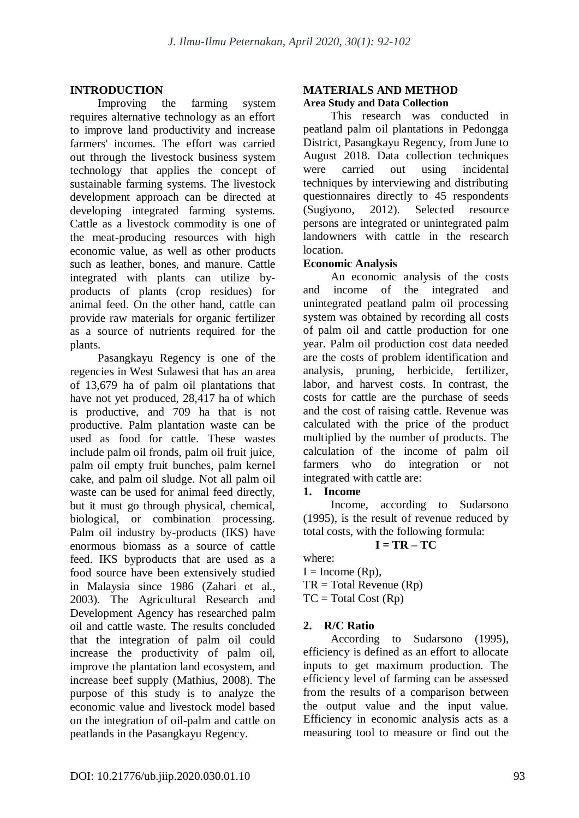## **INTRODUCTION**

Improving the farming system requires alternative technology as an effort to improve land productivity and increase farmers' incomes. The effort was carried out through the livestock business system technology that applies the concept of sustainable farming systems. The livestock development approach can be directed at developing integrated farming systems. Cattle as a livestock commodity is one of the meat-producing resources with high economic value, as well as other products such as leather, bones, and manure. Cattle integrated with plants can utilize byproducts of plants (crop residues) for animal feed. On the other hand, cattle can provide raw materials for organic fertilizer as a source of nutrients required for the plants.

Pasangkayu Regency is one of the regencies in West Sulawesi that has an area of 13,679 ha of palm oil plantations that have not yet produced, 28,417 ha of which is productive, and 709 ha that is not productive. Palm plantation waste can be used as food for cattle. These wastes include palm oil fronds, palm oil fruit juice, palm oil empty fruit bunches, palm kernel cake, and palm oil sludge. Not all palm oil waste can be used for animal feed directly, but it must go through physical, chemical, biological, or combination processing. Palm oil industry by-products (IKS) have enormous biomass as a source of cattle feed. IKS byproducts that are used as a food source have been extensively studied in Malaysia since 1986 (Zahari et al., 2003). The Agricultural Research and Development Agency has researched palm oil and cattle waste. The results concluded that the integration of palm oil could increase the productivity of palm oil, improve the plantation land ecosystem, and increase beef supply (Mathius, 2008). The purpose of this study is to analyze the economic value and livestock model based on the integration of oil-palm and cattle on peatlands in the Pasangkayu Regency.

### **MATERIALS AND METHOD Area Study and Data Collection**

This research was conducted in peatland palm oil plantations in Pedongga District, Pasangkayu Regency, from June to August 2018. Data collection techniques were carried out using incidental techniques by interviewing and distributing questionnaires directly to 45 respondents (Sugiyono, 2012). Selected resource persons are integrated or unintegrated palm landowners with cattle in the research location.

## **Economic Analysis**

An economic analysis of the costs and income of the integrated and unintegrated peatland palm oil processing system was obtained by recording all costs of palm oil and cattle production for one year. Palm oil production cost data needed are the costs of problem identification and analysis, pruning, herbicide, fertilizer, labor, and harvest costs. In contrast, the costs for cattle are the purchase of seeds and the cost of raising cattle. Revenue was calculated with the price of the product multiplied by the number of products. The calculation of the income of palm oil farmers who do integration or not integrated with cattle are:

## **1. Income**

Income, according to Sudarsono (1995), is the result of revenue reduced by total costs, with the following formula:

# $I = TR - TC$

where:  $I =$ Income (Rp),  $TR = Total Revenue (Rp)$  $TC = Total Cost (Rp)$ 

# **2. R/C Ratio**

According to Sudarsono (1995), efficiency is defined as an effort to allocate inputs to get maximum production. The efficiency level of farming can be assessed from the results of a comparison between the output value and the input value. Efficiency in economic analysis acts as a measuring tool to measure or find out the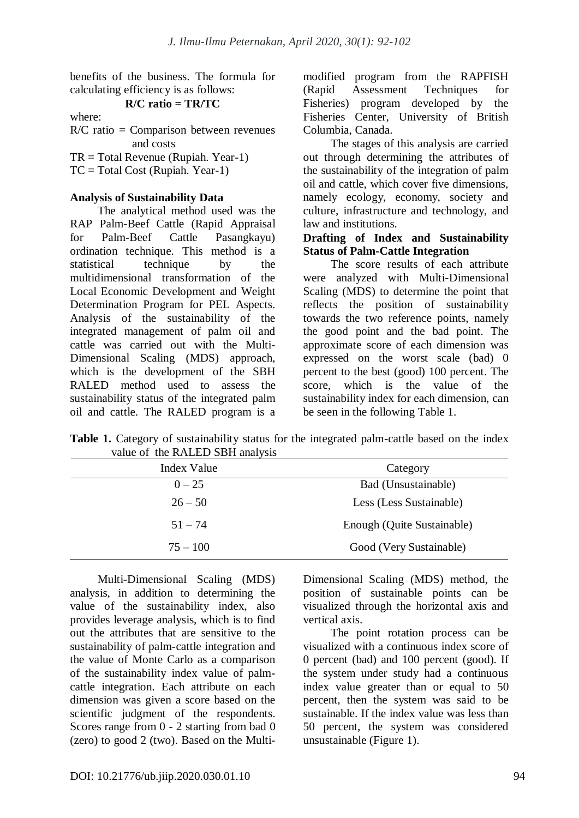benefits of the business. The formula for calculating efficiency is as follows:

### **R/C ratio = TR/TC**

where:

R/C ratio = Comparison between revenues and costs

TR = Total Revenue (Rupiah. Year-1)

 $TC = Total Cost (Rupiah. Year-1)$ 

### **Analysis of Sustainability Data**

The analytical method used was the RAP Palm-Beef Cattle (Rapid Appraisal for Palm-Beef Cattle Pasangkayu) ordination technique. This method is a statistical technique by the multidimensional transformation of the Local Economic Development and Weight Determination Program for PEL Aspects. Analysis of the sustainability of the integrated management of palm oil and cattle was carried out with the Multi-Dimensional Scaling (MDS) approach, which is the development of the SBH RALED method used to assess the sustainability status of the integrated palm oil and cattle. The RALED program is a modified program from the RAPFISH (Rapid Assessment Techniques for Fisheries) program developed by the Fisheries Center, University of British Columbia, Canada.

The stages of this analysis are carried out through determining the attributes of the sustainability of the integration of palm oil and cattle, which cover five dimensions, namely ecology, economy, society and culture, infrastructure and technology, and law and institutions.

### **Drafting of Index and Sustainability Status of Palm-Cattle Integration**

The score results of each attribute were analyzed with Multi-Dimensional Scaling (MDS) to determine the point that reflects the position of sustainability towards the two reference points, namely the good point and the bad point. The approximate score of each dimension was expressed on the worst scale (bad) 0 percent to the best (good) 100 percent. The score, which is the value of the sustainability index for each dimension, can be seen in the following Table 1.

Table 1. Category of sustainability status for the integrated palm-cattle based on the index value of the RALED SBH analysis

| Index Value | Category                   |
|-------------|----------------------------|
| $0 - 25$    | Bad (Unsustainable)        |
| $26 - 50$   | Less (Less Sustainable)    |
| $51 - 74$   | Enough (Quite Sustainable) |
| $75 - 100$  | Good (Very Sustainable)    |

Multi-Dimensional Scaling (MDS) analysis, in addition to determining the value of the sustainability index, also provides leverage analysis, which is to find out the attributes that are sensitive to the sustainability of palm-cattle integration and the value of Monte Carlo as a comparison of the sustainability index value of palmcattle integration. Each attribute on each dimension was given a score based on the scientific judgment of the respondents. Scores range from 0 - 2 starting from bad 0 (zero) to good 2 (two). Based on the MultiDimensional Scaling (MDS) method, the position of sustainable points can be visualized through the horizontal axis and vertical axis.

The point rotation process can be visualized with a continuous index score of 0 percent (bad) and 100 percent (good). If the system under study had a continuous index value greater than or equal to 50 percent, then the system was said to be sustainable. If the index value was less than 50 percent, the system was considered unsustainable (Figure 1).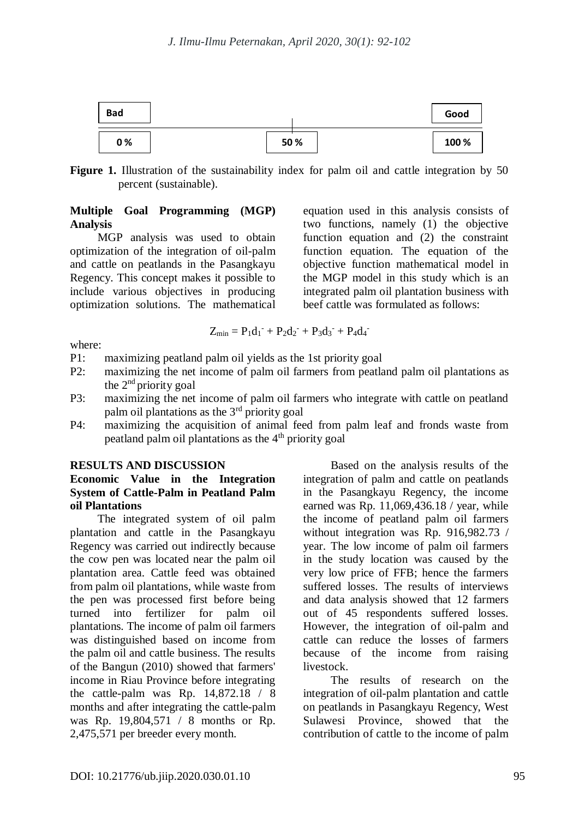

Figure 1. Illustration of the sustainability index for palm oil and cattle integration by 50 percent (sustainable).

### **Multiple Goal Programming (MGP) Analysis**

MGP analysis was used to obtain optimization of the integration of oil-palm and cattle on peatlands in the Pasangkayu Regency. This concept makes it possible to include various objectives in producing optimization solutions. The mathematical

equation used in this analysis consists of two functions, namely (1) the objective function equation and (2) the constraint function equation. The equation of the objective function mathematical model in the MGP model in this study which is an integrated palm oil plantation business with beef cattle was formulated as follows:

$$
Z_{min}=P_1d_1^-+P_2d_2^-+P_3d_3^-+P_4d_4^-
$$

where:

- P1: maximizing peatland palm oil yields as the 1st priority goal
- P2: maximizing the net income of palm oil farmers from peatland palm oil plantations as the  $2<sup>nd</sup>$  priority goal
- P3: maximizing the net income of palm oil farmers who integrate with cattle on peatland palm oil plantations as the 3rd priority goal
- P4: maximizing the acquisition of animal feed from palm leaf and fronds waste from peatland palm oil plantations as the  $4<sup>th</sup>$  priority goal

#### **RESULTS AND DISCUSSION**

## **Economic Value in the Integration System of Cattle-Palm in Peatland Palm oil Plantations**

The integrated system of oil palm plantation and cattle in the Pasangkayu Regency was carried out indirectly because the cow pen was located near the palm oil plantation area. Cattle feed was obtained from palm oil plantations, while waste from the pen was processed first before being turned into fertilizer for palm oil plantations. The income of palm oil farmers was distinguished based on income from the palm oil and cattle business. The results of the Bangun (2010) showed that farmers' income in Riau Province before integrating the cattle-palm was Rp. 14,872.18 / 8 months and after integrating the cattle-palm was Rp. 19,804,571 / 8 months or Rp. 2,475,571 per breeder every month.

Based on the analysis results of the integration of palm and cattle on peatlands in the Pasangkayu Regency, the income earned was Rp. 11,069,436.18 / year, while the income of peatland palm oil farmers without integration was Rp. 916,982.73 / year. The low income of palm oil farmers in the study location was caused by the very low price of FFB; hence the farmers suffered losses. The results of interviews and data analysis showed that 12 farmers out of 45 respondents suffered losses. However, the integration of oil-palm and cattle can reduce the losses of farmers because of the income from raising livestock.

The results of research on the integration of oil-palm plantation and cattle on peatlands in Pasangkayu Regency, West Sulawesi Province, showed that the contribution of cattle to the income of palm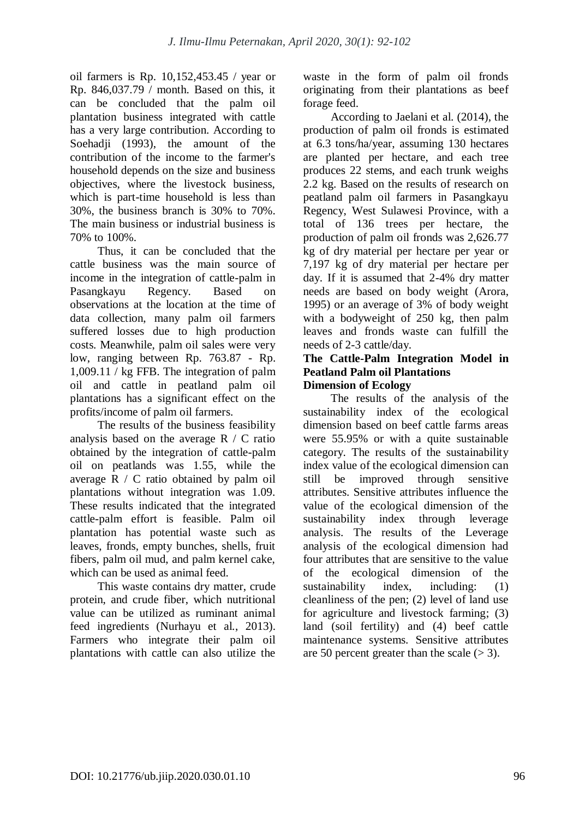oil farmers is Rp. 10,152,453.45 / year or Rp. 846,037.79 / month. Based on this, it can be concluded that the palm oil plantation business integrated with cattle has a very large contribution. According to Soehadii (1993), the amount of the contribution of the income to the farmer's household depends on the size and business objectives, where the livestock business, which is part-time household is less than 30%, the business branch is 30% to 70%. The main business or industrial business is 70% to 100%.

Thus, it can be concluded that the cattle business was the main source of income in the integration of cattle-palm in Pasangkayu Regency. Based on observations at the location at the time of data collection, many palm oil farmers suffered losses due to high production costs. Meanwhile, palm oil sales were very low, ranging between Rp. 763.87 - Rp. 1,009.11 / kg FFB. The integration of palm oil and cattle in peatland palm oil plantations has a significant effect on the profits/income of palm oil farmers.

The results of the business feasibility analysis based on the average R / C ratio obtained by the integration of cattle-palm oil on peatlands was 1.55, while the average R / C ratio obtained by palm oil plantations without integration was 1.09. These results indicated that the integrated cattle-palm effort is feasible. Palm oil plantation has potential waste such as leaves, fronds, empty bunches, shells, fruit fibers, palm oil mud, and palm kernel cake, which can be used as animal feed.

This waste contains dry matter, crude protein, and crude fiber, which nutritional value can be utilized as ruminant animal feed ingredients (Nurhayu et al., 2013). Farmers who integrate their palm oil plantations with cattle can also utilize the waste in the form of palm oil fronds originating from their plantations as beef forage feed.

According to Jaelani et al. (2014), the production of palm oil fronds is estimated at 6.3 tons/ha/year, assuming 130 hectares are planted per hectare, and each tree produces 22 stems, and each trunk weighs 2.2 kg. Based on the results of research on peatland palm oil farmers in Pasangkayu Regency, West Sulawesi Province, with a total of 136 trees per hectare, the production of palm oil fronds was 2,626.77 kg of dry material per hectare per year or 7,197 kg of dry material per hectare per day. If it is assumed that 2-4% dry matter needs are based on body weight (Arora, 1995) or an average of 3% of body weight with a bodyweight of 250 kg, then palm leaves and fronds waste can fulfill the needs of 2-3 cattle/day.

#### **The Cattle-Palm Integration Model in Peatland Palm oil Plantations Dimension of Ecology**

The results of the analysis of the sustainability index of the ecological dimension based on beef cattle farms areas were 55.95% or with a quite sustainable category. The results of the sustainability index value of the ecological dimension can still be improved through sensitive attributes. Sensitive attributes influence the value of the ecological dimension of the sustainability index through leverage analysis. The results of the Leverage analysis of the ecological dimension had four attributes that are sensitive to the value of the ecological dimension of the sustainability index, including: (1) cleanliness of the pen; (2) level of land use for agriculture and livestock farming; (3) land (soil fertility) and (4) beef cattle maintenance systems. Sensitive attributes are 50 percent greater than the scale  $(> 3)$ .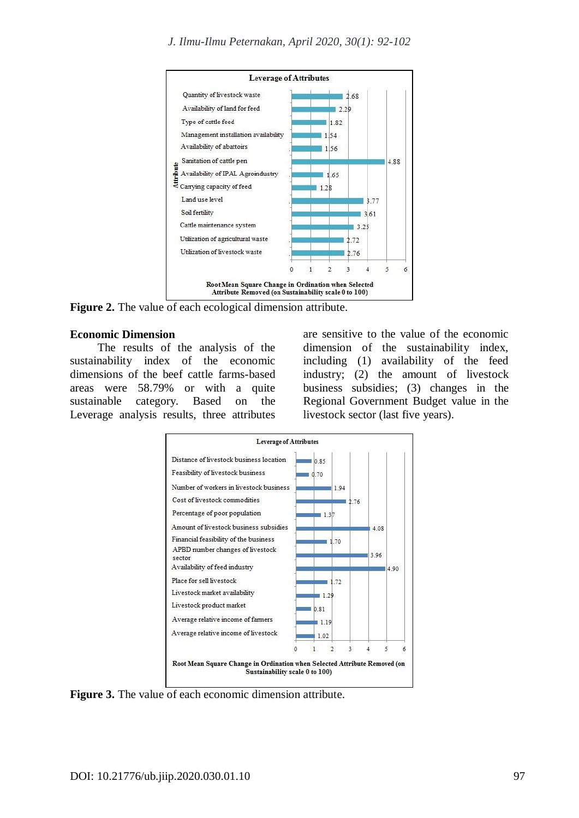

**Figure 2.** The value of each ecological dimension attribute.

#### **Economic Dimension**

The results of the analysis of the sustainability index of the economic dimensions of the beef cattle farms-based areas were 58.79% or with a quite sustainable category. Based on the Leverage analysis results, three attributes

are sensitive to the value of the economic dimension of the sustainability index, including (1) availability of the feed industry; (2) the amount of livestock business subsidies; (3) changes in the Regional Government Budget value in the livestock sector (last five years).



**Figure 3.** The value of each economic dimension attribute.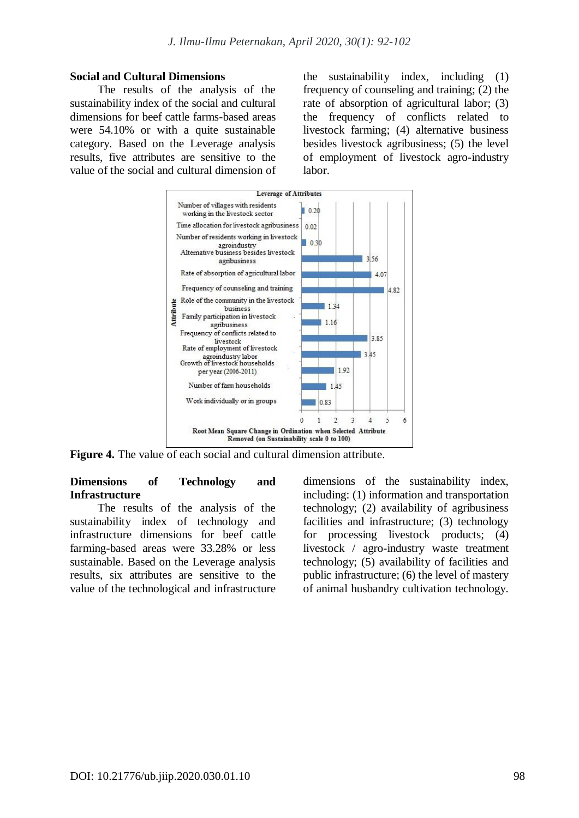#### **Social and Cultural Dimensions**

The results of the analysis of the sustainability index of the social and cultural dimensions for beef cattle farms-based areas were 54.10% or with a quite sustainable category. Based on the Leverage analysis results, five attributes are sensitive to the value of the social and cultural dimension of the sustainability index, including (1) frequency of counseling and training; (2) the rate of absorption of agricultural labor; (3) the frequency of conflicts related to livestock farming; (4) alternative business besides livestock agribusiness; (5) the level of employment of livestock agro-industry labor.



**Figure 4.** The value of each social and cultural dimension attribute.

#### **Dimensions of Technology and Infrastructure**

The results of the analysis of the sustainability index of technology and infrastructure dimensions for beef cattle farming-based areas were 33.28% or less sustainable. Based on the Leverage analysis results, six attributes are sensitive to the value of the technological and infrastructure dimensions of the sustainability index, including: (1) information and transportation technology; (2) availability of agribusiness facilities and infrastructure; (3) technology for processing livestock products; (4) livestock / agro-industry waste treatment technology; (5) availability of facilities and public infrastructure; (6) the level of mastery of animal husbandry cultivation technology.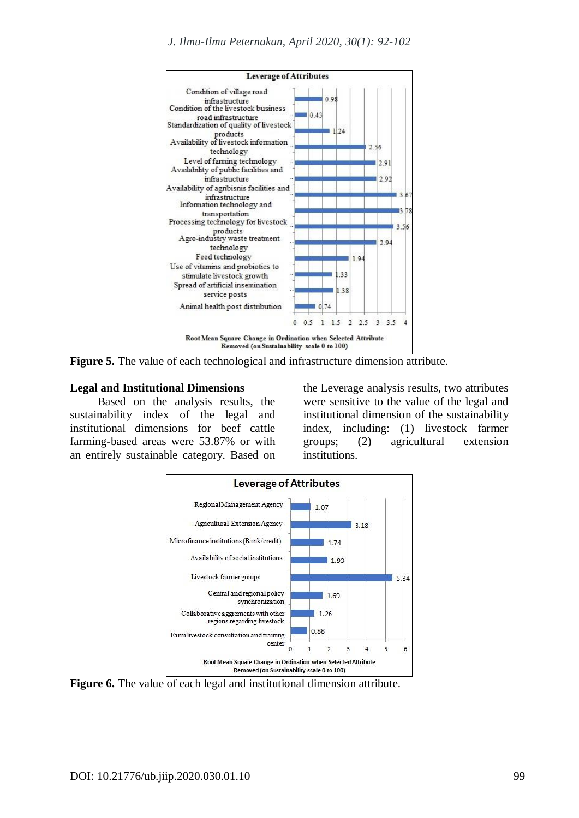

**Figure 5.** The value of each technological and infrastructure dimension attribute.

#### **Legal and Institutional Dimensions**

Based on the analysis results, the sustainability index of the legal and institutional dimensions for beef cattle farming-based areas were 53.87% or with an entirely sustainable category. Based on the Leverage analysis results, two attributes were sensitive to the value of the legal and institutional dimension of the sustainability index, including: (1) livestock farmer groups; (2) agricultural extension institutions.



**Figure 6.** The value of each legal and institutional dimension attribute.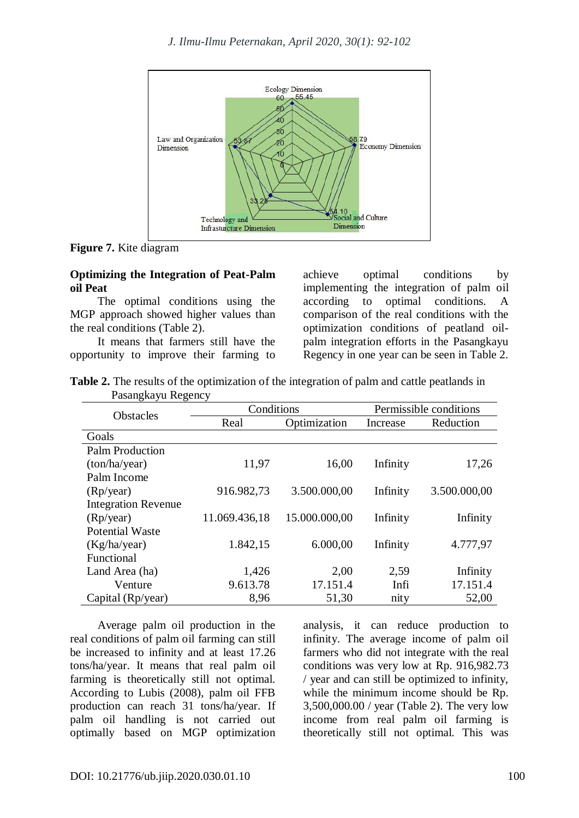

**Figure 7.** Kite diagram

### **Optimizing the Integration of Peat-Palm oil Peat**

The optimal conditions using the MGP approach showed higher values than the real conditions (Table 2).

It means that farmers still have the opportunity to improve their farming to achieve optimal conditions by implementing the integration of palm oil according to optimal conditions. A comparison of the real conditions with the optimization conditions of peatland oilpalm integration efforts in the Pasangkayu Regency in one year can be seen in Table 2.

| <b>Table 2.</b> The results of the optimization of the integration of palm and cattle peatlands in |  |  |  |  |
|----------------------------------------------------------------------------------------------------|--|--|--|--|
| Pasangkayu Regency                                                                                 |  |  |  |  |

| <b>Obstacles</b>           | Conditions    |               | Permissible conditions |              |  |
|----------------------------|---------------|---------------|------------------------|--------------|--|
|                            | Real          | Optimization  | Increase               | Reduction    |  |
| Goals                      |               |               |                        |              |  |
| <b>Palm Production</b>     |               |               |                        |              |  |
| (ton/ha/year)              | 11,97         | 16,00         | Infinity               | 17,26        |  |
| Palm Income                |               |               |                        |              |  |
| (Rp/year)                  | 916.982,73    | 3.500.000,00  | Infinity               | 3.500.000,00 |  |
| <b>Integration Revenue</b> |               |               |                        |              |  |
| (Rp/year)                  | 11.069.436,18 | 15.000.000,00 | Infinity               | Infinity     |  |
| <b>Potential Waste</b>     |               |               |                        |              |  |
| (Kg/ha/year)               | 1.842,15      | 6.000,00      | Infinity               | 4.777,97     |  |
| Functional                 |               |               |                        |              |  |
| Land Area (ha)             | 1,426         | 2,00          | 2,59                   | Infinity     |  |
| Venture                    | 9.613.78      | 17.151.4      | Infi                   | 17.151.4     |  |
| Capital (Rp/year)          | 8,96          | 51,30         | nity                   | 52,00        |  |

Average palm oil production in the real conditions of palm oil farming can still be increased to infinity and at least 17.26 tons/ha/year. It means that real palm oil farming is theoretically still not optimal. According to Lubis (2008), palm oil FFB production can reach 31 tons/ha/year. If palm oil handling is not carried out optimally based on MGP optimization

analysis, it can reduce production to infinity. The average income of palm oil farmers who did not integrate with the real conditions was very low at Rp. 916,982.73 / year and can still be optimized to infinity, while the minimum income should be Rp. 3,500,000.00 / year (Table 2). The very low income from real palm oil farming is theoretically still not optimal. This was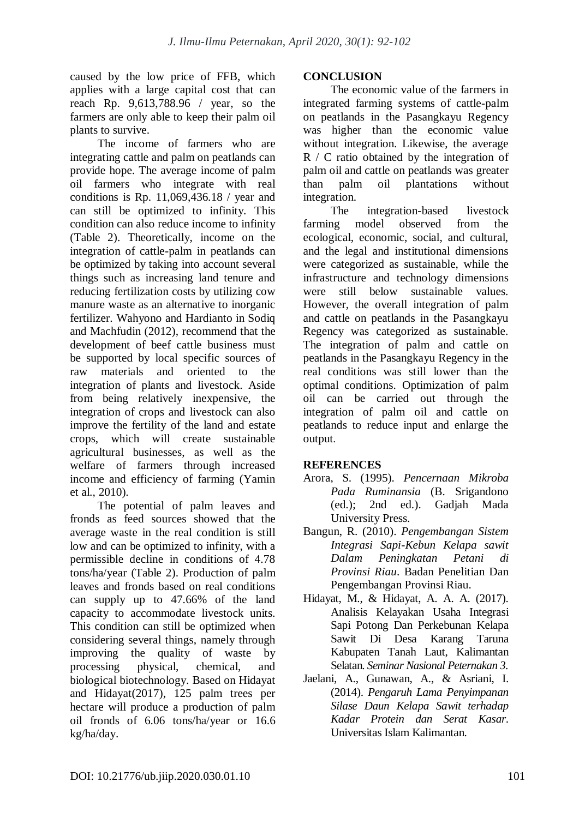caused by the low price of FFB, which applies with a large capital cost that can reach Rp. 9,613,788.96 / year, so the farmers are only able to keep their palm oil plants to survive.

The income of farmers who are integrating cattle and palm on peatlands can provide hope. The average income of palm oil farmers who integrate with real conditions is Rp. 11,069,436.18 / year and can still be optimized to infinity. This condition can also reduce income to infinity (Table 2). Theoretically, income on the integration of cattle-palm in peatlands can be optimized by taking into account several things such as increasing land tenure and reducing fertilization costs by utilizing cow manure waste as an alternative to inorganic fertilizer. Wahyono and Hardianto in Sodiq and Machfudin (2012), recommend that the development of beef cattle business must be supported by local specific sources of raw materials and oriented to the integration of plants and livestock. Aside from being relatively inexpensive, the integration of crops and livestock can also improve the fertility of the land and estate crops, which will create sustainable agricultural businesses, as well as the welfare of farmers through increased income and efficiency of farming (Yamin et al., 2010).

The potential of palm leaves and fronds as feed sources showed that the average waste in the real condition is still low and can be optimized to infinity, with a permissible decline in conditions of 4.78 tons/ha/year (Table 2). Production of palm leaves and fronds based on real conditions can supply up to 47.66% of the land capacity to accommodate livestock units. This condition can still be optimized when considering several things, namely through improving the quality of waste by processing physical, chemical, and biological biotechnology. Based on Hidayat and Hidayat(2017), 125 palm trees per hectare will produce a production of palm oil fronds of 6.06 tons/ha/year or 16.6 kg/ha/day.

## **CONCLUSION**

The economic value of the farmers in integrated farming systems of cattle-palm on peatlands in the Pasangkayu Regency was higher than the economic value without integration. Likewise, the average R / C ratio obtained by the integration of palm oil and cattle on peatlands was greater than palm oil plantations without integration.

The integration-based livestock farming model observed from the ecological, economic, social, and cultural, and the legal and institutional dimensions were categorized as sustainable, while the infrastructure and technology dimensions were still below sustainable values. However, the overall integration of palm and cattle on peatlands in the Pasangkayu Regency was categorized as sustainable. The integration of palm and cattle on peatlands in the Pasangkayu Regency in the real conditions was still lower than the optimal conditions. Optimization of palm oil can be carried out through the integration of palm oil and cattle on peatlands to reduce input and enlarge the output.

# **REFERENCES**

- Arora, S. (1995). *Pencernaan Mikroba Pada Ruminansia* (B. Srigandono (ed.); 2nd ed.). Gadjah Mada University Press.
- Bangun, R. (2010). *Pengembangan Sistem Integrasi Sapi-Kebun Kelapa sawit Dalam Peningkatan Petani di Provinsi Riau*. Badan Penelitian Dan Pengembangan Provinsi Riau.
- Hidayat, M., & Hidayat, A. A. A. (2017). Analisis Kelayakan Usaha Integrasi Sapi Potong Dan Perkebunan Kelapa Sawit Di Desa Karang Taruna Kabupaten Tanah Laut, Kalimantan Selatan. *Seminar Nasional Peternakan 3*.
- Jaelani, A., Gunawan, A., & Asriani, I. (2014). *Pengaruh Lama Penyimpanan Silase Daun Kelapa Sawit terhadap Kadar Protein dan Serat Kasar*. Universitas Islam Kalimantan.